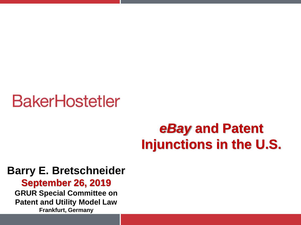#### *eBay* **and Patent Injunctions in the U.S.**

#### **Barry E. Bretschneider**

**September 26, 2019 GRUR Special Committee on Patent and Utility Model Law Frankfurt, Germany**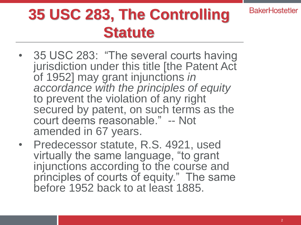## **35 USC 283, The Controlling Statute**

- 35 USC 283: "The several courts having jurisdiction under this title [the Patent Act of 1952] may grant injunctions *in accordance with the principles of equity*  to prevent the violation of any right secured by patent, on such terms as the court deems reasonable." -- Not amended in 67 years.
- Predecessor statute, R.S. 4921, used virtually the same language, "to grant injunctions according to the course and principles of courts of equity." The same before 1952 back to at least 1885.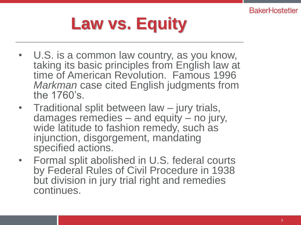# **Law vs. Equity**

- U.S. is a common law country, as you know, taking its basic principles from English law at time of American Revolution. Famous 1996 *Markman* case cited English judgments from the 1760's.
- Traditional split between law jury trials, damages remedies – and equity – no jury, wide latitude to fashion remedy, such as injunction, disgorgement, mandating specified actions.
- Formal split abolished in U.S. federal courts by Federal Rules of Civil Procedure in 1938 but division in jury trial right and remedies continues.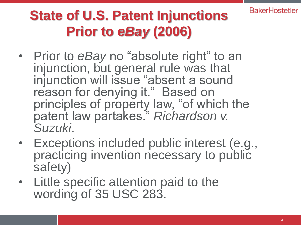#### **State of U.S. Patent Injunctions Prior to** *eBay* **(2006)**

- Prior to *eBay* no "absolute right" to an injunction, but general rule was that injunction will issue "absent a sound reason for denying it." Based on principles of property law, "of which the patent law partakes." *Richardson v. Suzuki*.
- Exceptions included public interest (e.g., practicing invention necessary to public safety)
- Little specific attention paid to the wording of 35 USC 283.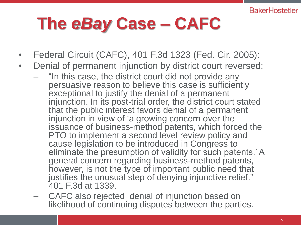# **The** *eBay* **Case – CAFC**

- Federal Circuit (CAFC), 401 F.3d 1323 (Fed. Cir. 2005):
- Denial of permanent injunction by district court reversed:
	- "In this case, the district court did not provide any persuasive reason to believe this case is sufficiently exceptional to justify the denial of a permanent injunction. In its post-trial order, the district court stated that the public interest favors denial of a permanent injunction in view of 'a growing concern over the issuance of business-method patents, which forced the PTO to implement a second level review policy and cause legislation to be introduced in Congress to eliminate the presumption of validity for such patents.' A general concern regarding business-method patents, however, is not the type of important public need that justifies the unusual step of denying injunctive relief." 401 F.3d at 1339.
	- CAFC also rejected denial of injunction based on likelihood of continuing disputes between the parties.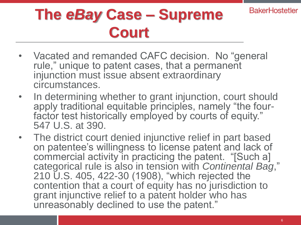## **The** *eBay* **Case – Supreme Court**

- Vacated and remanded CAFC decision. No "general rule," unique to patent cases, that a permanent injunction must issue absent extraordinary circumstances.
- In determining whether to grant injunction, court should apply traditional equitable principles, namely "the fourfactor test historically employed by courts of equity." 547 U.S. at 390.
- The district court denied injunctive relief in part based on patentee's willingness to license patent and lack of commercial activity in practicing the patent. "[Such a] categorical rule is also in tension with *Continental Bag*," 210 U.S. 405, 422-30 (1908), "which rejected the contention that a court of equity has no jurisdiction to grant injunctive relief to a patent holder who has unreasonably declined to use the patent."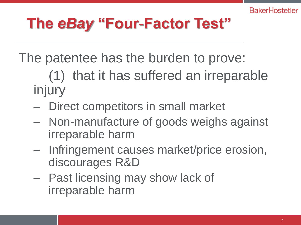The patentee has the burden to prove:

(1) that it has suffered an irreparable injury

- Direct competitors in small market
- Non-manufacture of goods weighs against irreparable harm
- Infringement causes market/price erosion, discourages R&D
- Past licensing may show lack of irreparable harm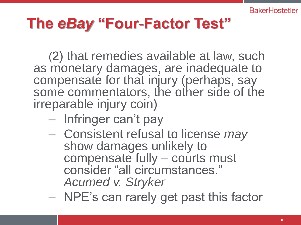#### **The** *eBay* **"Four-Factor Test"**

(2) that remedies available at law, such as monetary damages, are inadequate to compensate for that injury (perhaps, say some commentators, the other side of the irreparable injury coin)

- Infringer can't pay
- Consistent refusal to license *may* show damages unlikely to compensate fully – courts must consider "all circumstances." *Acumed v. Stryker*
- NPE's can rarely get past this factor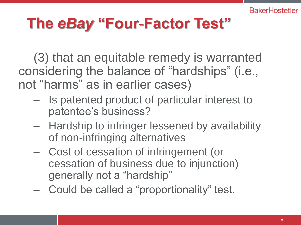(3) that an equitable remedy is warranted considering the balance of "hardships" (i.e., not "harms" as in earlier cases)

- Is patented product of particular interest to patentee's business?
- Hardship to infringer lessened by availability of non-infringing alternatives
- Cost of cessation of infringement (or cessation of business due to injunction) generally not a "hardship"
- Could be called a "proportionality" test.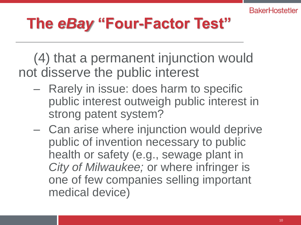(4) that a permanent injunction would not disserve the public interest

- Rarely in issue: does harm to specific public interest outweigh public interest in strong patent system?
- Can arise where injunction would deprive public of invention necessary to public health or safety (e.g., sewage plant in *City of Milwaukee;* or where infringer is one of few companies selling important medical device)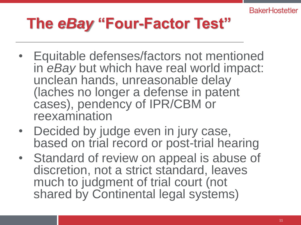- Equitable defenses/factors not mentioned in *eBay* but which have real world impact: unclean hands, unreasonable delay (laches no longer a defense in patent cases), pendency of IPR/CBM or reexamination
- Decided by judge even in jury case, based on trial record or post-trial hearing
- Standard of review on appeal is abuse of discretion, not a strict standard, leaves much to judgment of trial court (not shared by Continental legal systems)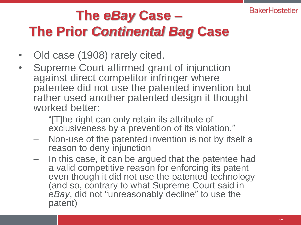#### **The** *eBay* **Case – The Prior** *Continental Bag* **Case**

- Old case (1908) rarely cited.
- Supreme Court affirmed grant of injunction against direct competitor infringer where patentee did not use the patented invention but rather used another patented design it thought worked better:
	- "[T]he right can only retain its attribute of exclusiveness by a prevention of its violation."
	- Non-use of the patented invention is not by itself a reason to deny injunction
	- In this case, it can be argued that the patentee had a valid competitive reason for enforcing its patent even though it did not use the patented technology (and so, contrary to what Supreme Court said in *eBay*, did not "unreasonably decline" to use the patent)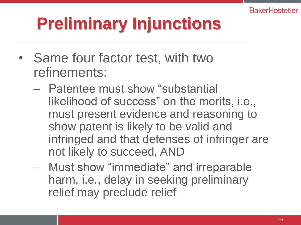# **Preliminary Injunctions**

- Same four factor test, with two refinements:
	- Patentee must show "substantial likelihood of success" on the merits, i.e., must present evidence and reasoning to show patent is likely to be valid and infringed and that defenses of infringer are not likely to succeed, AND
	- Must show "immediate" and irreparable harm, i.e., delay in seeking preliminary relief may preclude relief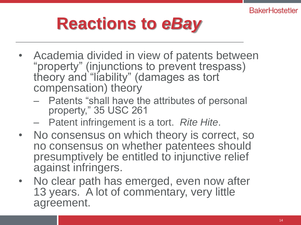# **Reactions to** *eBay*

- Academia divided in view of patents between "property" (injunctions to prevent trespass) theory and "liability" (damages as tort compensation) theory
	- Patents "shall have the attributes of personal property," 35 USC 261
	- Patent infringement is a tort. *Rite Hite*.
- No consensus on which theory is correct, so no consensus on whether patentees should presumptively be entitled to injunctive relief against infringers.
- No clear path has emerged, even now after 13 years. A lot of commentary, very little agreement.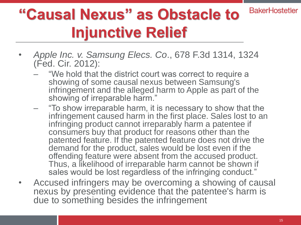#### **BakerHostetler "Causal Nexus" as Obstacle to Injunctive Relief**

- *Apple Inc. v. Samsung Elecs. Co*., 678 F.3d 1314, 1324 (Fed. Cir. 2012):
	- "We hold that the district court was correct to require a showing of some causal nexus between Samsung's infringement and the alleged harm to Apple as part of the showing of irreparable harm."
	- "To show irreparable harm, it is necessary to show that the infringement caused harm in the first place. Sales lost to an infringing product cannot irreparably harm a patentee if consumers buy that product for reasons other than the patented feature. If the patented feature does not drive the demand for the product, sales would be lost even if the offending feature were absent from the accused product. Thus, a likelihood of irreparable harm cannot be shown if sales would be lost regardless of the infringing conduct."
- Accused infringers may be overcoming a showing of causal nexus by presenting evidence that the patentee's harm is due to something besides the infringement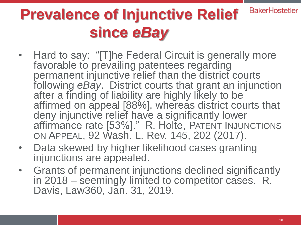#### **BakerHostetler Prevalence of Injunctive Relief since** *eBay*

- Hard to say: "[T]he Federal Circuit is generally more favorable to prevailing patentees regarding permanent injunctive relief than the district courts following *eBay*. District courts that grant an injunction after a finding of liability are highly likely to be affirmed on appeal [88%], whereas district courts that deny injunctive relief have a significantly lower affirmance rate [53%]." R. Holte, PATENT INJUNCTIONS ON APPEAL, 92 Wash. L. Rev. 145, 202 (2017).
- Data skewed by higher likelihood cases granting injunctions are appealed.
- Grants of permanent injunctions declined significantly in 2018 – seemingly limited to competitor cases. R. Davis, Law360, Jan. 31, 2019.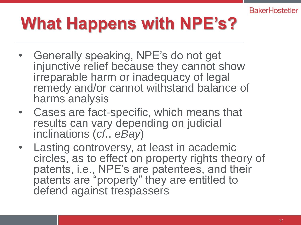# **What Happens with NPE's?**

- Generally speaking, NPE's do not get injunctive relief because they cannot show irreparable harm or inadequacy of legal remedy and/or cannot withstand balance of harms analysis
- Cases are fact-specific, which means that results can vary depending on judicial inclinations (*cf*., *eBay*)
- Lasting controversy, at least in academic circles, as to effect on property rights theory of patents, i.e., NPE's are patentees, and their patents are "property" they are entitled to defend against trespassers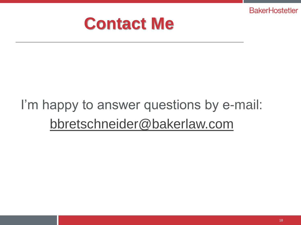

#### I'm happy to answer questions by e-mail: [bbretschneider@bakerlaw.com](mailto:bbretschneider@bakerlaw.com)